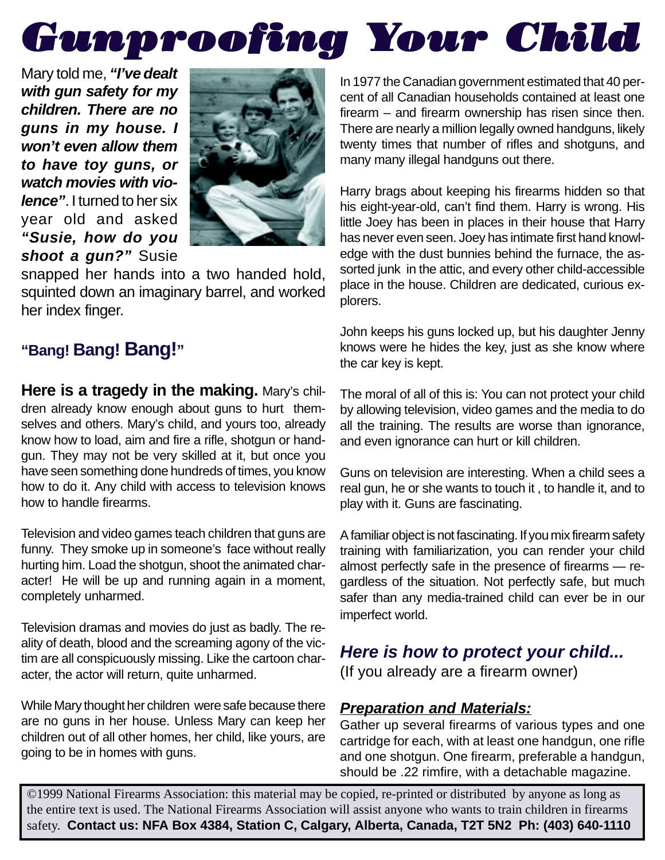# *Gunproofing Y oofing Your Child our Child*

Mary told me, **"I've dealt with gun safety for my children. There are no guns in my house. I won't even allow them to have toy guns, or watch movies with violence"**. I turned to her six year old and asked **"Susie, how do you shoot a gun?"** Susie



snapped her hands into a two handed hold, squinted down an imaginary barrel, and worked her index finger.

# **"Bang! Bang! Bang!"**

**Here is a tragedy in the making.** Mary's children already know enough about guns to hurt themselves and others. Mary's child, and yours too, already know how to load, aim and fire a rifle, shotgun or handgun. They may not be very skilled at it, but once you have seen something done hundreds of times, you know how to do it. Any child with access to television knows how to handle firearms.

Television and video games teach children that guns are funny. They smoke up in someone's face without really hurting him. Load the shotgun, shoot the animated character! He will be up and running again in a moment, completely unharmed.

Television dramas and movies do just as badly. The reality of death, blood and the screaming agony of the victim are all conspicuously missing. Like the cartoon character, the actor will return, quite unharmed.

While Mary thought her children were safe because there are no guns in her house. Unless Mary can keep her children out of all other homes, her child, like yours, are going to be in homes with guns.

In 1977 the Canadian government estimated that 40 percent of all Canadian households contained at least one firearm – and firearm ownership has risen since then. There are nearly a million legally owned handguns, likely twenty times that number of rifles and shotguns, and many many illegal handguns out there.

Harry brags about keeping his firearms hidden so that his eight-year-old, can't find them. Harry is wrong. His little Joey has been in places in their house that Harry has never even seen. Joey has intimate first hand knowledge with the dust bunnies behind the furnace, the assorted junk in the attic, and every other child-accessible place in the house. Children are dedicated, curious explorers.

John keeps his guns locked up, but his daughter Jenny knows were he hides the key, just as she know where the car key is kept.

The moral of all of this is: You can not protect your child by allowing television, video games and the media to do all the training. The results are worse than ignorance, and even ignorance can hurt or kill children.

Guns on television are interesting. When a child sees a real gun, he or she wants to touch it , to handle it, and to play with it. Guns are fascinating.

A familiar object is not fascinating. If you mix firearm safety training with familiarization, you can render your child almost perfectly safe in the presence of firearms — regardless of the situation. Not perfectly safe, but much safer than any media-trained child can ever be in our imperfect world.

## **Here is how to protect your child...**

(If you already are a firearm owner)

## **Preparation and Materials:**

Gather up several firearms of various types and one cartridge for each, with at least one handgun, one rifle and one shotgun. One firearm, preferable a handgun, should be .22 rimfire, with a detachable magazine.

©1999 National Firearms Association: this material may be copied, re-printed or distributed by anyone as long as the entire text is used. The National Firearms Association will assist anyone who wants to train children in firearms safety. **Contact us: NFA Box 4384, Station C, Calgary, Alberta, Canada, T2T 5N2 Ph: (403) 640-1110**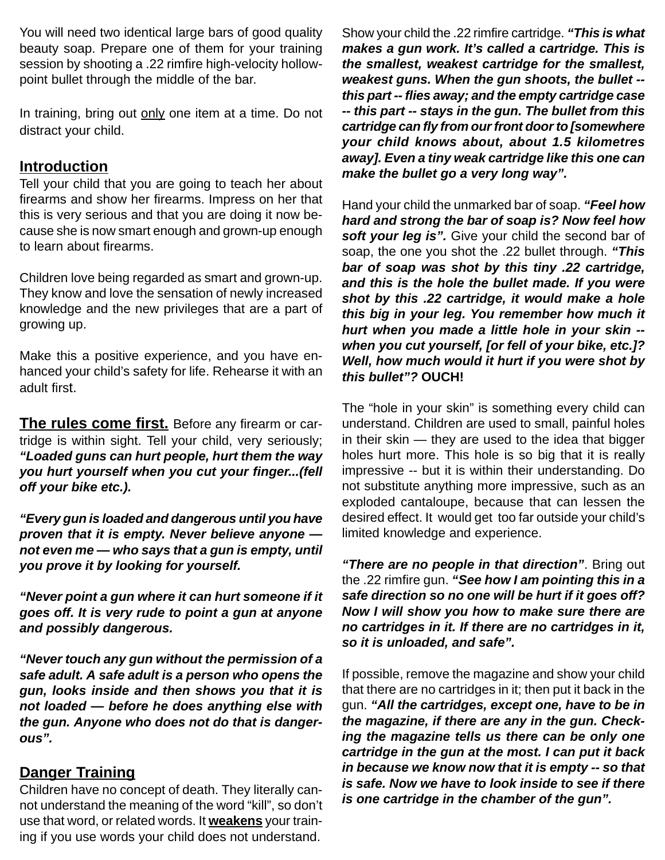You will need two identical large bars of good quality beauty soap. Prepare one of them for your training session by shooting a .22 rimfire high-velocity hollowpoint bullet through the middle of the bar.

In training, bring out only one item at a time. Do not distract your child.

#### **Introduction**

Tell your child that you are going to teach her about firearms and show her firearms. Impress on her that this is very serious and that you are doing it now because she is now smart enough and grown-up enough to learn about firearms.

Children love being regarded as smart and grown-up. They know and love the sensation of newly increased knowledge and the new privileges that are a part of growing up.

Make this a positive experience, and you have enhanced your child's safety for life. Rehearse it with an adult first.

**The rules come first.** Before any firearm or cartridge is within sight. Tell your child, very seriously; **"Loaded guns can hurt people, hurt them the way you hurt yourself when you cut your finger...(fell off your bike etc.).**

**"Every gun is loaded and dangerous until you have proven that it is empty. Never believe anyone not even me — who says that a gun is empty, until you prove it by looking for yourself.**

**"Never point a gun where it can hurt someone if it goes off. It is very rude to point a gun at anyone and possibly dangerous.**

**"Never touch any gun without the permission of a safe adult. A safe adult is a person who opens the gun, looks inside and then shows you that it is not loaded — before he does anything else with the gun. Anyone who does not do that is dangerous".**

## **Danger Training**

Children have no concept of death. They literally cannot understand the meaning of the word "kill", so don't use that word, or related words. It **weakens** your training if you use words your child does not understand.

Show your child the .22 rimfire cartridge. **"This is what makes a gun work. It's called a cartridge. This is the smallest, weakest cartridge for the smallest, weakest guns. When the gun shoots, the bullet - this part -- flies away; and the empty cartridge case -- this part -- stays in the gun. The bullet from this cartridge can fly from our front door to [somewhere your child knows about, about 1.5 kilometres away]. Even a tiny weak cartridge like this one can make the bullet go a very long way".**

Hand your child the unmarked bar of soap. **"Feel how hard and strong the bar of soap is? Now feel how** soft your leg is". Give your child the second bar of soap, the one you shot the .22 bullet through. **"This bar of soap was shot by this tiny .22 cartridge, and this is the hole the bullet made. If you were shot by this .22 cartridge, it would make a hole this big in your leg. You remember how much it hurt when you made a little hole in your skin - when you cut yourself, [or fell of your bike, etc.]? Well, how much would it hurt if you were shot by this bullet"? OUCH!**

The "hole in your skin" is something every child can understand. Children are used to small, painful holes in their skin — they are used to the idea that bigger holes hurt more. This hole is so big that it is really impressive -- but it is within their understanding. Do not substitute anything more impressive, such as an exploded cantaloupe, because that can lessen the desired effect. It would get too far outside your child's limited knowledge and experience.

**"There are no people in that direction"**. Bring out the .22 rimfire gun. **"See how I am pointing this in a safe direction so no one will be hurt if it goes off? Now I will show you how to make sure there are no cartridges in it. If there are no cartridges in it, so it is unloaded, and safe".**

If possible, remove the magazine and show your child that there are no cartridges in it; then put it back in the gun. **"All the cartridges, except one, have to be in the magazine, if there are any in the gun. Checking the magazine tells us there can be only one cartridge in the gun at the most. I can put it back in because we know now that it is empty -- so that is safe. Now we have to look inside to see if there is one cartridge in the chamber of the gun".**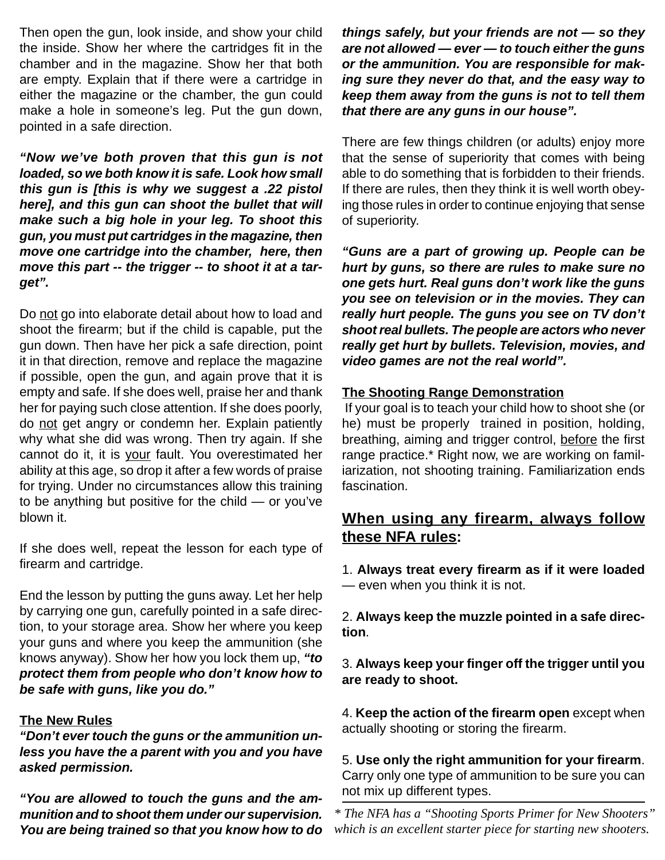Then open the gun, look inside, and show your child the inside. Show her where the cartridges fit in the chamber and in the magazine. Show her that both are empty. Explain that if there were a cartridge in either the magazine or the chamber, the gun could make a hole in someone's leg. Put the gun down, pointed in a safe direction.

**"Now we've both proven that this gun is not loaded, so we both know it is safe. Look how small this gun is [this is why we suggest a .22 pistol here], and this gun can shoot the bullet that will make such a big hole in your leg. To shoot this gun, you must put cartridges in the magazine, then move one cartridge into the chamber, here, then move this part -- the trigger -- to shoot it at a target".**

Do not go into elaborate detail about how to load and shoot the firearm; but if the child is capable, put the gun down. Then have her pick a safe direction, point it in that direction, remove and replace the magazine if possible, open the gun, and again prove that it is empty and safe. If she does well, praise her and thank her for paying such close attention. If she does poorly, do not get angry or condemn her. Explain patiently why what she did was wrong. Then try again. If she cannot do it, it is your fault. You overestimated her ability at this age, so drop it after a few words of praise for trying. Under no circumstances allow this training to be anything but positive for the child — or you've blown it.

If she does well, repeat the lesson for each type of firearm and cartridge.

End the lesson by putting the guns away. Let her help by carrying one gun, carefully pointed in a safe direction, to your storage area. Show her where you keep your guns and where you keep the ammunition (she knows anyway). Show her how you lock them up, **"to protect them from people who don't know how to be safe with guns, like you do."**

#### **The New Rules**

**"Don't ever touch the guns or the ammunition unless you have the a parent with you and you have asked permission.**

**"You are allowed to touch the guns and the ammunition and to shoot them under our supervision. You are being trained so that you know how to do** **things safely, but your friends are not — so they are not allowed — ever — to touch either the guns or the ammunition. You are responsible for making sure they never do that, and the easy way to keep them away from the guns is not to tell them that there are any guns in our house".**

There are few things children (or adults) enjoy more that the sense of superiority that comes with being able to do something that is forbidden to their friends. If there are rules, then they think it is well worth obeying those rules in order to continue enjoying that sense of superiority.

**"Guns are a part of growing up. People can be hurt by guns, so there are rules to make sure no one gets hurt. Real guns don't work like the guns you see on television or in the movies. They can really hurt people. The guns you see on TV don't shoot real bullets. The people are actors who never really get hurt by bullets. Television, movies, and video games are not the real world".**

#### **The Shooting Range Demonstration**

 If your goal is to teach your child how to shoot she (or he) must be properly trained in position, holding, breathing, aiming and trigger control, before the first range practice.\* Right now, we are working on familiarization, not shooting training. Familiarization ends fascination.

### **When using any firearm, always follow these NFA rules:**

1. **Always treat every firearm as if it were loaded** — even when you think it is not.

2. **Always keep the muzzle pointed in a safe direction**.

3. **Always keep your finger off the trigger until you are ready to shoot.**

4. **Keep the action of the firearm open** except when actually shooting or storing the firearm.

5. **Use only the right ammunition for your firearm**. Carry only one type of ammunition to be sure you can not mix up different types.

*\* The NFA has a "Shooting Sports Primer for New Shooters" which is an excellent starter piece for starting new shooters.*